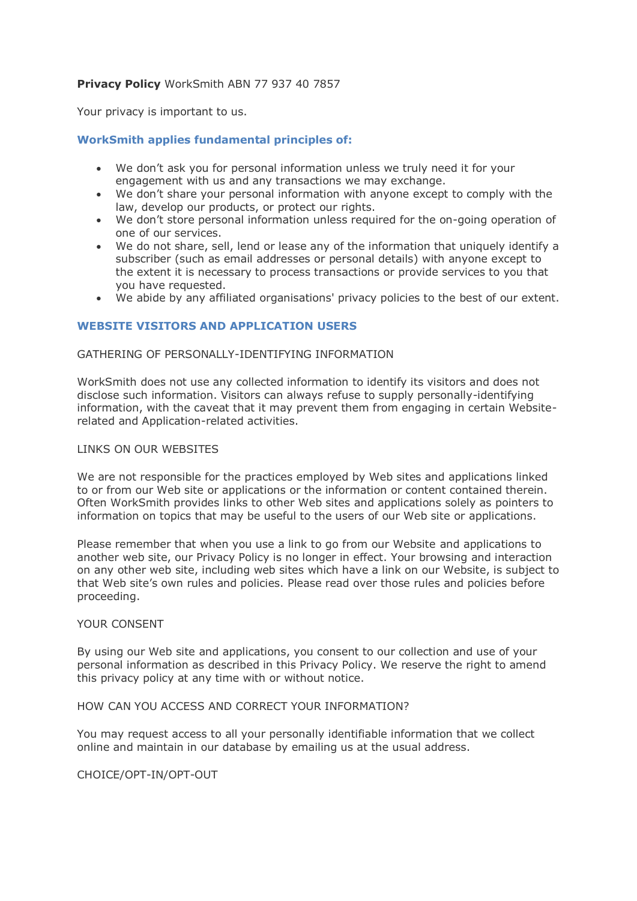# **Privacy Policy** WorkSmith ABN 77 937 40 7857

Your privacy is important to us.

# **WorkSmith applies fundamental principles of:**

- We don't ask you for personal information unless we truly need it for your engagement with us and any transactions we may exchange.
- We don't share your personal information with anyone except to comply with the law, develop our products, or protect our rights.
- We don't store personal information unless required for the on-going operation of one of our services.
- We do not share, sell, lend or lease any of the information that uniquely identify a subscriber (such as email addresses or personal details) with anyone except to the extent it is necessary to process transactions or provide services to you that you have requested.
- We abide by any affiliated organisations' privacy policies to the best of our extent.

# **WEBSITE VISITORS AND APPLICATION USERS**

## GATHERING OF PERSONALLY-IDENTIFYING INFORMATION

WorkSmith does not use any collected information to identify its visitors and does not disclose such information. Visitors can always refuse to supply personally-identifying information, with the caveat that it may prevent them from engaging in certain Websiterelated and Application-related activities.

### LINKS ON OUR WEBSITES

We are not responsible for the practices employed by Web sites and applications linked to or from our Web site or applications or the information or content contained therein. Often WorkSmith provides links to other Web sites and applications solely as pointers to information on topics that may be useful to the users of our Web site or applications.

Please remember that when you use a link to go from our Website and applications to another web site, our Privacy Policy is no longer in effect. Your browsing and interaction on any other web site, including web sites which have a link on our Website, is subject to that Web site's own rules and policies. Please read over those rules and policies before proceeding.

## YOUR CONSENT

By using our Web site and applications, you consent to our collection and use of your personal information as described in this Privacy Policy. We reserve the right to amend this privacy policy at any time with or without notice.

### HOW CAN YOU ACCESS AND CORRECT YOUR INFORMATION?

You may request access to all your personally identifiable information that we collect online and maintain in our database by emailing us at the usual address.

CHOICE/OPT-IN/OPT-OUT